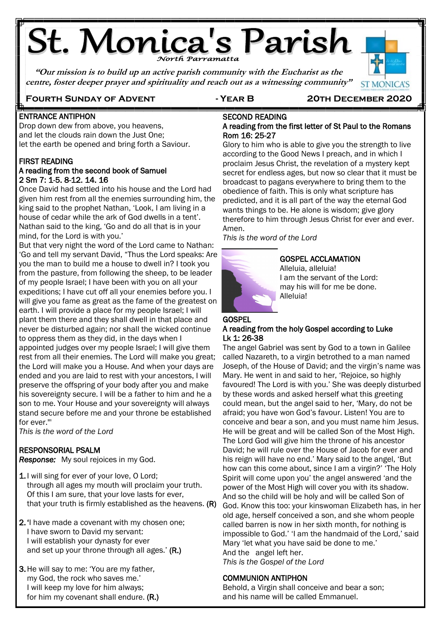# **St. Monica's Parish**

**"Our mission is to build up an active parish community with the Eucharist as the centre, foster deeper prayer and spirituality and reach out as a witnessing community"**

## **Fourth Sunday of Advent - Year B 20th December 2020**

!

**ST MONICA'S** 

#### ŗ ENTRANCE ANTIPHON

Drop down dew from above, you heavens, and let the clouds rain down the Just One; let the earth be opened and bring forth a Saviour.

#### FIRST READING A reading from the second book of Samuel 2 Sm 7: 1-5. 8-12. 14. 16

Once David had settled into his house and the Lord had given him rest from all the enemies surrounding him, the king said to the prophet Nathan, 'Look, I am living in a house of cedar while the ark of God dwells in a tent'. Nathan said to the king, 'Go and do all that is in your mind, for the Lord is with you.'

But that very night the word of the Lord came to Nathan: 'Go and tell my servant David, "Thus the Lord speaks: Are you the man to build me a house to dwell in? I took you from the pasture, from following the sheep, to be leader of my people Israel; I have been with you on all your expeditions; I have cut off all your enemies before you. I will give you fame as great as the fame of the greatest on earth. I will provide a place for my people Israel; I will plant them there and they shall dwell in that place and never be disturbed again; nor shall the wicked continue to oppress them as they did, in the days when I appointed judges over my people Israel; I will give them rest from all their enemies. The Lord will make you great; the Lord will make you a House. And when your days are ended and you are laid to rest with your ancestors, I will preserve the offspring of your body after you and make his sovereignty secure. I will be a father to him and he a son to me. Your House and your sovereignty will always stand secure before me and your throne be established for ever."'

*This is the word of the Lord*

## RESPONSORIAL PSALM

*Response:* My soul rejoices in my God.

- 1. I will sing for ever of your love, O Lord; through all ages my mouth will proclaim your truth. Of this I am sure, that your love lasts for ever, that your truth is firmly established as the heavens. (R)
- 2. 'I have made a covenant with my chosen one; I have sworn to David my servant: I will establish your dynasty for ever and set up your throne through all ages.' (R.)
- 3. He will say to me: 'You are my father, my God, the rock who saves me.' I will keep my love for him always; for him my covenant shall endure. (R.)

#### SECOND READING A reading from the first letter of St Paul to the Romans Rom 16: 25-27

Glory to him who is able to give you the strength to live according to the Good News I preach, and in which I proclaim Jesus Christ, the revelation of a mystery kept secret for endless ages, but now so clear that it must be broadcast to pagans everywhere to bring them to the obedience of faith. This is only what scripture has predicted, and it is all part of the way the eternal God wants things to be. He alone is wisdom; give glory therefore to him through Jesus Christ for ever and ever. Amen.

*This is the word of the Lord*



# GOSPEL ACCLAMATION Alleluia, alleluia!

I am the servant of the Lord: may his will for me be done. Alleluia!

#### **GOSPEL** A reading from the holy Gospel according to Luke Lk 1: 26-38

The angel Gabriel was sent by God to a town in Galilee called Nazareth, to a virgin betrothed to a man named Joseph, of the House of David; and the virgin's name was Mary. He went in and said to her, 'Rejoice, so highly favoured! The Lord is with you.' She was deeply disturbed by these words and asked herself what this greeting could mean, but the angel said to her, 'Mary, do not be afraid; you have won God's favour. Listen! You are to conceive and bear a son, and you must name him Jesus. He will be great and will be called Son of the Most High. The Lord God will give him the throne of his ancestor David; he will rule over the House of Jacob for ever and his reign will have no end.' Mary said to the angel, 'But how can this come about, since I am a virgin?' 'The Holy Spirit will come upon you' the angel answered 'and the power of the Most High will cover you with its shadow. And so the child will be holy and will be called Son of God. Know this too: your kinswoman Elizabeth has, in her old age, herself conceived a son, and she whom people called barren is now in her sixth month, for nothing is impossible to God.' 'I am the handmaid of the Lord,' said Mary 'let what you have said be done to me.' And the angel left her. *This is the Gospel of the Lord*

## COMMUNION ANTIPHON

Behold, a Virgin shall conceive and bear a son; and his name will be called Emmanuel.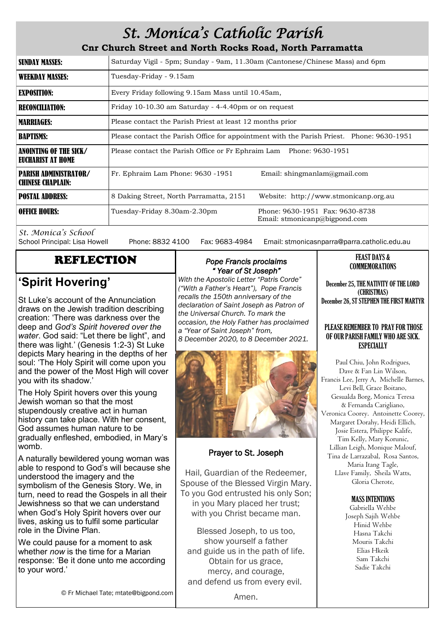# *St. Monica's Catholic Parish*

**Cnr Church Street and North Rocks Road, North Parramatta**

| <b>SUNDAY MASSES:</b>                                    | Saturday Vigil - 5pm; Sunday - 9am, 11.30am (Cantonese/Chinese Mass) and 6pm              |                                                                  |  |
|----------------------------------------------------------|-------------------------------------------------------------------------------------------|------------------------------------------------------------------|--|
| <b>WEEKDAY MASSES:</b>                                   | Tuesday-Friday - 9.15am                                                                   |                                                                  |  |
| <b>EXPOSITION:</b>                                       | Every Friday following 9.15am Mass until 10.45am,                                         |                                                                  |  |
| <b>RECONCILIATION:</b>                                   | Friday 10-10.30 am Saturday - 4-4.40pm or on request                                      |                                                                  |  |
| <b>MARRIAGES:</b>                                        | Please contact the Parish Priest at least 12 months prior                                 |                                                                  |  |
| <b>BAPTISMS:</b>                                         | Please contact the Parish Office for appointment with the Parish Priest. Phone: 9630-1951 |                                                                  |  |
| ANOINTING OF THE SICK/<br>EUCHARIST AT HOME              | Please contact the Parish Office or Fr Ephraim Lam Phone: 9630-1951                       |                                                                  |  |
| <b>PARISH ADMINISTRATOR/</b><br><b>CHINESE CHAPLAIN:</b> | Fr. Ephraim Lam Phone: 9630 -1951                                                         | Email: shingmanlam@gmail.com                                     |  |
| <b>POSTAL ADDRESS:</b>                                   | 8 Daking Street, North Parramatta, 2151                                                   | Website: http://www.stmonicanp.org.au                            |  |
| <b>OFFICE HOURS:</b>                                     | Tuesday-Friday 8.30am-2.30pm                                                              | Phone: 9630-1951 Fax: 9630-8738<br>Email: stmonicanp@bigpond.com |  |

*St. Monica's School*

Phone: 8832 4100 Fax: 9683-4984 Email: stmonicasnparra@parra.catholic.edu.au

# REFLECTION

# **'Spirit Hovering'**

St Luke's account of the Annunciation draws on the Jewish tradition describing creation: 'There was darkness over the deep and *God's Spirit hovered over the water*. God said: "Let there be light", and there was light.' (Genesis 1:2-3) St Luke depicts Mary hearing in the depths of her soul: 'The Holy Spirit will come upon you and the power of the Most High will cover you with its shadow.'

The Holy Spirit hovers over this young Jewish woman so that the most stupendously creative act in human history can take place. With her consent, God assumes human nature to be gradually enfleshed, embodied, in Mary's womb.

A naturally bewildered young woman was able to respond to God's will because she understood the imagery and the symbolism of the Genesis Story. We, in turn, need to read the Gospels in all their Jewishness so that we can understand when God's Holy Spirit hovers over our lives, asking us to fulfil some particular role in the Divine Plan.

We could pause for a moment to ask whether *now* is the time for a Marian response: 'Be it done unto me according to your word.'

## *Pope Francis proclaims " Year of St Joseph"*

*With the Apostolic Letter "Patris Corde" ("With a Father's Heart"), Pope Francis recalls the 150th anniversary of the declaration of Saint Joseph as Patron of the Universal Church. To mark the occasion, the Holy Father has proclaimed a "Year of Saint Joseph" from,* 

*8 December 2020, to 8 December 2021.* 



# Prayer to St. Joseph

Hail, Guardian of the Redeemer, Spouse of the Blessed Virgin Mary. To you God entrusted his only Son; in you Mary placed her trust; with you Christ became man.

Blessed Joseph, to us too, show yourself a father and guide us in the path of life. Obtain for us grace, mercy, and courage, and defend us from every evil.

## FEAST DAYS & COMMEMORATIONS

December 25, THE NATIVITY OF THE LORD (CHRISTMAS) December 26, ST STEPHEN THE FIRST MARTYR

### PLEASE REMEMBER TO PRAY FOR THOSE OF OUR PARISH FAMILY WHO ARE SICK. **ESPECIALLY**

Paul Chiu, John Rodrigues, Dave & Fan Lin Wilson, Francis Lee, Jerry A, Michelle Barnes, Levi Bell, Grace Boitano, Gesualda Borg, Monica Teresa & Fernanda Carigliano, Veronica Coorey. Antoinette Coorey, Margaret Dorahy, Heidi Ellich, Josie Estera, Philippe Kalife, Tim Kelly, Mary Korunic, Lillian Leigh, Monique Malouf, Tina de Larrazabal, Rosa Santos, Maria Itang Tagle, Llave Family, Sheila Watts, Gloria Cherote,

## MASS INTENTIONS

Gabriella Wehbe Joseph Sajih Wehbe Hinid Wehbe Hasna Takchi Mouris Takchi Elias Hkeik Sam Takchi Sadie Takchi

© Fr Michael Tate; mtate@bigpond.com

Amen.